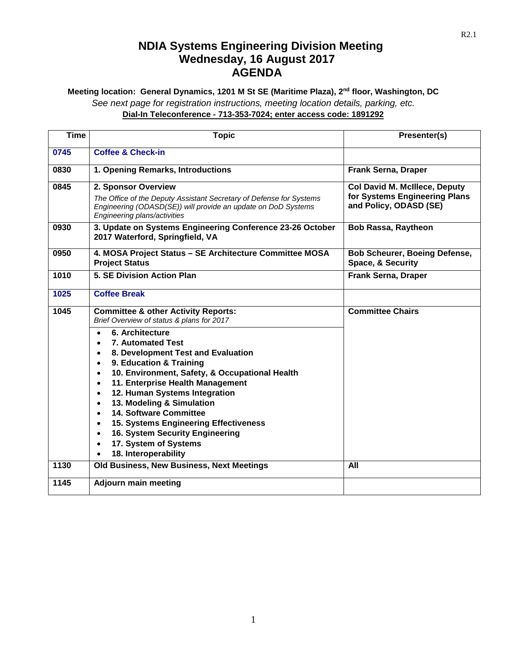## **NDIA Systems Engineering Division Meeting Wednesday, 16 August 2017 AGENDA**

**Meeting location: General Dynamics, 1201 M St SE (Maritime Plaza), 2nd floor, Washington, DC** *See next page for registration instructions, meeting location details, parking, etc.* **Dial-In Teleconference - 713-353-7024; enter access code: 1891292**

| <b>Time</b> | <b>Topic</b>                                                                                                                                                                                                                                                                                                                                                                                                                                                          | Presenter(s)                                                                                    |
|-------------|-----------------------------------------------------------------------------------------------------------------------------------------------------------------------------------------------------------------------------------------------------------------------------------------------------------------------------------------------------------------------------------------------------------------------------------------------------------------------|-------------------------------------------------------------------------------------------------|
| 0745        | <b>Coffee &amp; Check-in</b>                                                                                                                                                                                                                                                                                                                                                                                                                                          |                                                                                                 |
| 0830        | 1. Opening Remarks, Introductions                                                                                                                                                                                                                                                                                                                                                                                                                                     | <b>Frank Serna, Draper</b>                                                                      |
| 0845        | 2. Sponsor Overview<br>The Office of the Deputy Assistant Secretary of Defense for Systems<br>Engineering (ODASD(SE)) will provide an update on DoD Systems<br>Engineering plans/activities                                                                                                                                                                                                                                                                           | <b>Col David M. McIllece, Deputy</b><br>for Systems Engineering Plans<br>and Policy, ODASD (SE) |
| 0930        | 3. Update on Systems Engineering Conference 23-26 October<br>2017 Waterford, Springfield, VA                                                                                                                                                                                                                                                                                                                                                                          | <b>Bob Rassa, Raytheon</b>                                                                      |
| 0950        | 4. MOSA Project Status - SE Architecture Committee MOSA<br><b>Project Status</b>                                                                                                                                                                                                                                                                                                                                                                                      | <b>Bob Scheurer, Boeing Defense,</b><br>Space, & Security                                       |
| 1010        | 5. SE Division Action Plan                                                                                                                                                                                                                                                                                                                                                                                                                                            | Frank Serna, Draper                                                                             |
| 1025        | <b>Coffee Break</b>                                                                                                                                                                                                                                                                                                                                                                                                                                                   |                                                                                                 |
| 1045        | <b>Committee &amp; other Activity Reports:</b><br>Brief Overview of status & plans for 2017                                                                                                                                                                                                                                                                                                                                                                           | <b>Committee Chairs</b>                                                                         |
|             | 6. Architecture<br><b>7. Automated Test</b><br>8. Development Test and Evaluation<br>9. Education & Training<br>$\bullet$<br>10. Environment, Safety, & Occupational Health<br>11. Enterprise Health Management<br>12. Human Systems Integration<br>13. Modeling & Simulation<br><b>14. Software Committee</b><br>15. Systems Engineering Effectiveness<br>16. System Security Engineering<br>17. System of Systems<br>$\bullet$<br>18. Interoperability<br>$\bullet$ |                                                                                                 |
| 1130        | Old Business, New Business, Next Meetings                                                                                                                                                                                                                                                                                                                                                                                                                             | All                                                                                             |
| 1145        | <b>Adjourn main meeting</b>                                                                                                                                                                                                                                                                                                                                                                                                                                           |                                                                                                 |